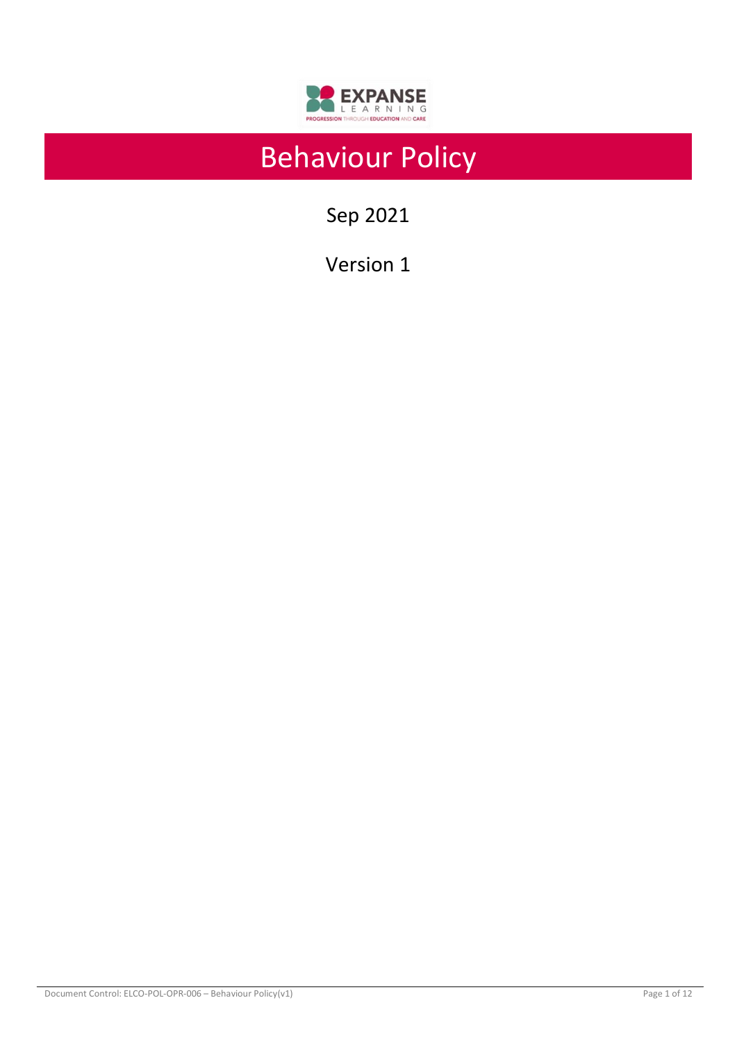

# Behaviour Policy

Sep 2021

Version 1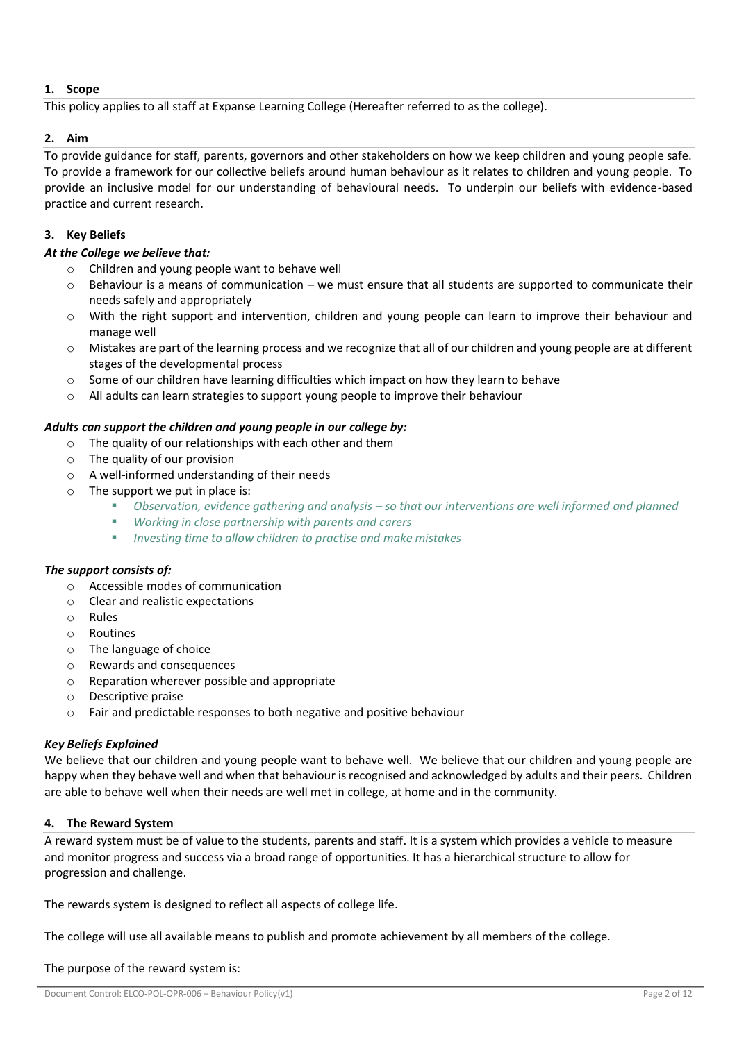# **1. Scope**

This policy applies to all staff at Expanse Learning College (Hereafter referred to as the college).

# **2. Aim**

To provide guidance for staff, parents, governors and other stakeholders on how we keep children and young people safe. To provide a framework for our collective beliefs around human behaviour as it relates to children and young people. To provide an inclusive model for our understanding of behavioural needs. To underpin our beliefs with evidence-based practice and current research.

# **3. Key Beliefs**

#### *At the College we believe that:*

- o Children and young people want to behave well
- $\circ$  Behaviour is a means of communication we must ensure that all students are supported to communicate their needs safely and appropriately
- o With the right support and intervention, children and young people can learn to improve their behaviour and manage well
- $\circ$  Mistakes are part of the learning process and we recognize that all of our children and young people are at different stages of the developmental process
- $\circ$  Some of our children have learning difficulties which impact on how they learn to behave
- $\circ$  All adults can learn strategies to support young people to improve their behaviour

#### *Adults can support the children and young people in our college by:*

- o The quality of our relationships with each other and them
- o The quality of our provision
- o A well-informed understanding of their needs
- o The support we put in place is:
	- *Observation, evidence gathering and analysis – so that our interventions are well informed and planned*
	- *Working in close partnership with parents and carers*
	- *Investing time to allow children to practise and make mistakes*

## *The support consists of:*

- o Accessible modes of communication
- o Clear and realistic expectations
- o Rules
- o Routines
- o The language of choice
- o Rewards and consequences
- o Reparation wherever possible and appropriate
- o Descriptive praise
- o Fair and predictable responses to both negative and positive behaviour

## *Key Beliefs Explained*

We believe that our children and young people want to behave well. We believe that our children and young people are happy when they behave well and when that behaviour is recognised and acknowledged by adults and their peers. Children are able to behave well when their needs are well met in college, at home and in the community.

## **4. The Reward System**

A reward system must be of value to the students, parents and staff. It is a system which provides a vehicle to measure and monitor progress and success via a broad range of opportunities. It has a hierarchical structure to allow for progression and challenge.

The rewards system is designed to reflect all aspects of college life.

The college will use all available means to publish and promote achievement by all members of the college.

#### The purpose of the reward system is: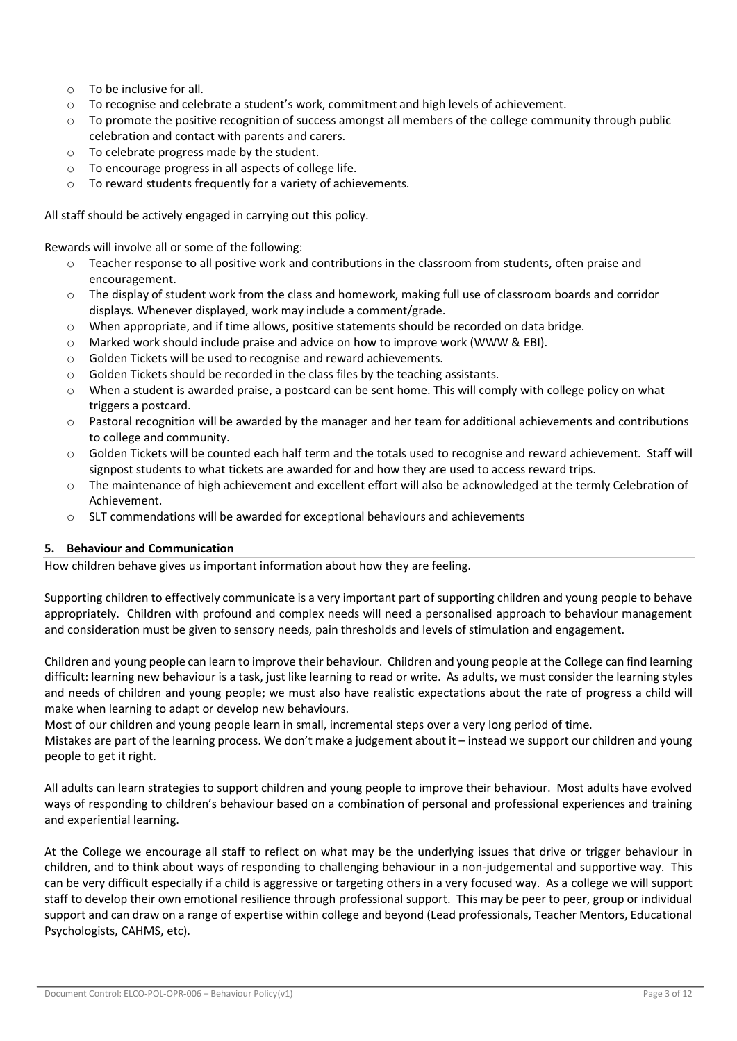- o To be inclusive for all.
- $\circ$  To recognise and celebrate a student's work, commitment and high levels of achievement.
- $\circ$  To promote the positive recognition of success amongst all members of the college community through public celebration and contact with parents and carers.
- o To celebrate progress made by the student.
- o To encourage progress in all aspects of college life.
- o To reward students frequently for a variety of achievements.

All staff should be actively engaged in carrying out this policy.

Rewards will involve all or some of the following:

- o Teacher response to all positive work and contributions in the classroom from students, often praise and encouragement.
- $\circ$  The display of student work from the class and homework, making full use of classroom boards and corridor displays. Whenever displayed, work may include a comment/grade.
- o When appropriate, and if time allows, positive statements should be recorded on data bridge.
- o Marked work should include praise and advice on how to improve work (WWW & EBI).
- o Golden Tickets will be used to recognise and reward achievements.
- $\circ$  Golden Tickets should be recorded in the class files by the teaching assistants.
- o When a student is awarded praise, a postcard can be sent home. This will comply with college policy on what triggers a postcard.
- $\circ$  Pastoral recognition will be awarded by the manager and her team for additional achievements and contributions to college and community.
- o Golden Tickets will be counted each half term and the totals used to recognise and reward achievement. Staff will signpost students to what tickets are awarded for and how they are used to access reward trips.
- o The maintenance of high achievement and excellent effort will also be acknowledged at the termly Celebration of Achievement.
- o SLT commendations will be awarded for exceptional behaviours and achievements

## **5. Behaviour and Communication**

How children behave gives us important information about how they are feeling.

Supporting children to effectively communicate is a very important part of supporting children and young people to behave appropriately. Children with profound and complex needs will need a personalised approach to behaviour management and consideration must be given to sensory needs, pain thresholds and levels of stimulation and engagement.

Children and young people can learn to improve their behaviour. Children and young people at the College can find learning difficult: learning new behaviour is a task, just like learning to read or write. As adults, we must consider the learning styles and needs of children and young people; we must also have realistic expectations about the rate of progress a child will make when learning to adapt or develop new behaviours.

Most of our children and young people learn in small, incremental steps over a very long period of time.

Mistakes are part of the learning process. We don't make a judgement about it – instead we support our children and young people to get it right.

All adults can learn strategies to support children and young people to improve their behaviour. Most adults have evolved ways of responding to children's behaviour based on a combination of personal and professional experiences and training and experiential learning.

At the College we encourage all staff to reflect on what may be the underlying issues that drive or trigger behaviour in children, and to think about ways of responding to challenging behaviour in a non-judgemental and supportive way. This can be very difficult especially if a child is aggressive or targeting others in a very focused way. As a college we will support staff to develop their own emotional resilience through professional support. This may be peer to peer, group or individual support and can draw on a range of expertise within college and beyond (Lead professionals, Teacher Mentors, Educational Psychologists, CAHMS, etc).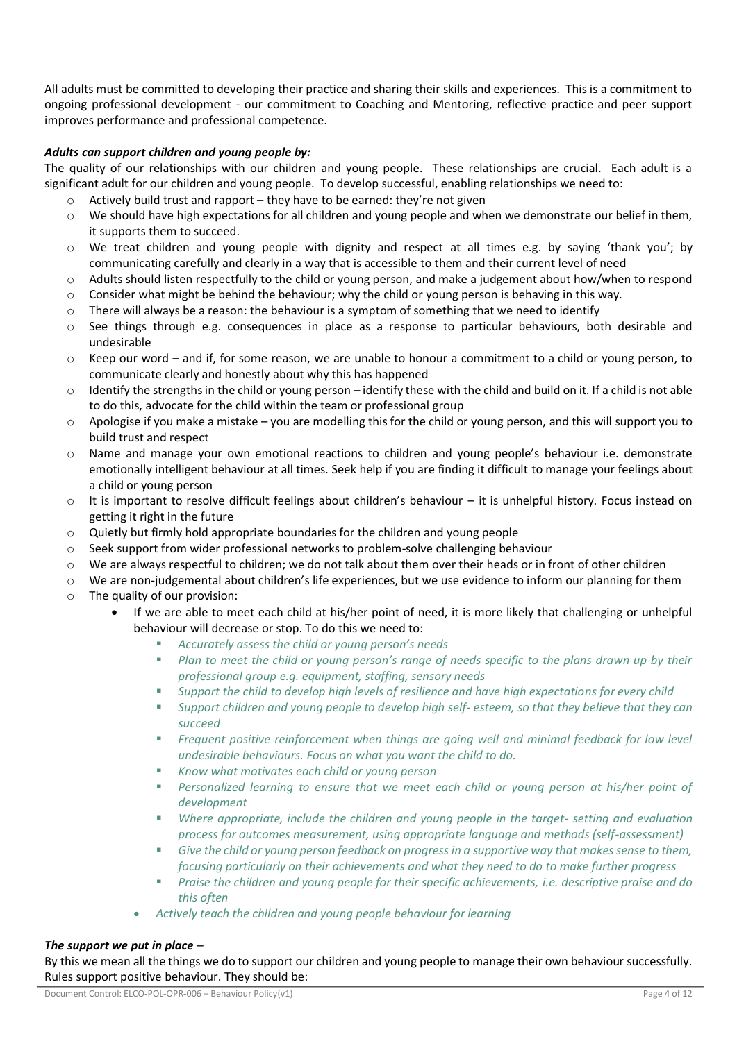All adults must be committed to developing their practice and sharing their skills and experiences. This is a commitment to ongoing professional development - our commitment to Coaching and Mentoring, reflective practice and peer support improves performance and professional competence.

## *Adults can support children and young people by:*

The quality of our relationships with our children and young people. These relationships are crucial. Each adult is a significant adult for our children and young people. To develop successful, enabling relationships we need to:

- Actively build trust and rapport they have to be earned: they're not given
- $\circ$  We should have high expectations for all children and young people and when we demonstrate our belief in them, it supports them to succeed.
- o We treat children and young people with dignity and respect at all times e.g. by saying 'thank you'; by communicating carefully and clearly in a way that is accessible to them and their current level of need
- o Adults should listen respectfully to the child or young person, and make a judgement about how/when to respond
- $\circ$  Consider what might be behind the behaviour; why the child or young person is behaving in this way.
- o There will always be a reason: the behaviour is a symptom of something that we need to identify
- o See things through e.g. consequences in place as a response to particular behaviours, both desirable and undesirable
- o Keep our word and if, for some reason, we are unable to honour a commitment to a child or young person, to communicate clearly and honestly about why this has happened
- $\circ$  Identify the strengths in the child or young person identify these with the child and build on it. If a child is not able to do this, advocate for the child within the team or professional group
- o Apologise if you make a mistake you are modelling this for the child or young person, and this will support you to build trust and respect
- o Name and manage your own emotional reactions to children and young people's behaviour i.e. demonstrate emotionally intelligent behaviour at all times. Seek help if you are finding it difficult to manage your feelings about a child or young person
- o It is important to resolve difficult feelings about children's behaviour it is unhelpful history. Focus instead on getting it right in the future
- o Quietly but firmly hold appropriate boundaries for the children and young people
- $\circ$  Seek support from wider professional networks to problem-solve challenging behaviour
- $\circ$  We are always respectful to children; we do not talk about them over their heads or in front of other children
- $\circ$  We are non-judgemental about children's life experiences, but we use evidence to inform our planning for them
- o The quality of our provision:
	- If we are able to meet each child at his/her point of need, it is more likely that challenging or unhelpful behaviour will decrease or stop. To do this we need to:
		- *Accurately assess the child or young person's needs*
		- *Plan to meet the child or young person's range of needs specific to the plans drawn up by their professional group e.g. equipment, staffing, sensory needs*
		- Support the child to develop high levels of resilience and have high expectations for every child
		- *Support children and young people to develop high self- esteem, so that they believe that they can succeed*
		- *Frequent positive reinforcement when things are going well and minimal feedback for low level undesirable behaviours. Focus on what you want the child to do.*
		- *Know what motivates each child or young person*
		- Personalized learning to ensure that we meet each child or young person at his/her point of *development*
		- *Where appropriate, include the children and young people in the target- setting and evaluation process for outcomes measurement, using appropriate language and methods (self-assessment)*
		- Give the child or young person feedback on progress in a supportive way that makes sense to them, *focusing particularly on their achievements and what they need to do to make further progress*
		- *Praise the children and young people for their specific achievements, i.e. descriptive praise and do this often*
		- *Actively teach the children and young people behaviour for learning*

#### *The support we put in place –*

By this we mean all the things we do to support our children and young people to manage their own behaviour successfully. Rules support positive behaviour. They should be: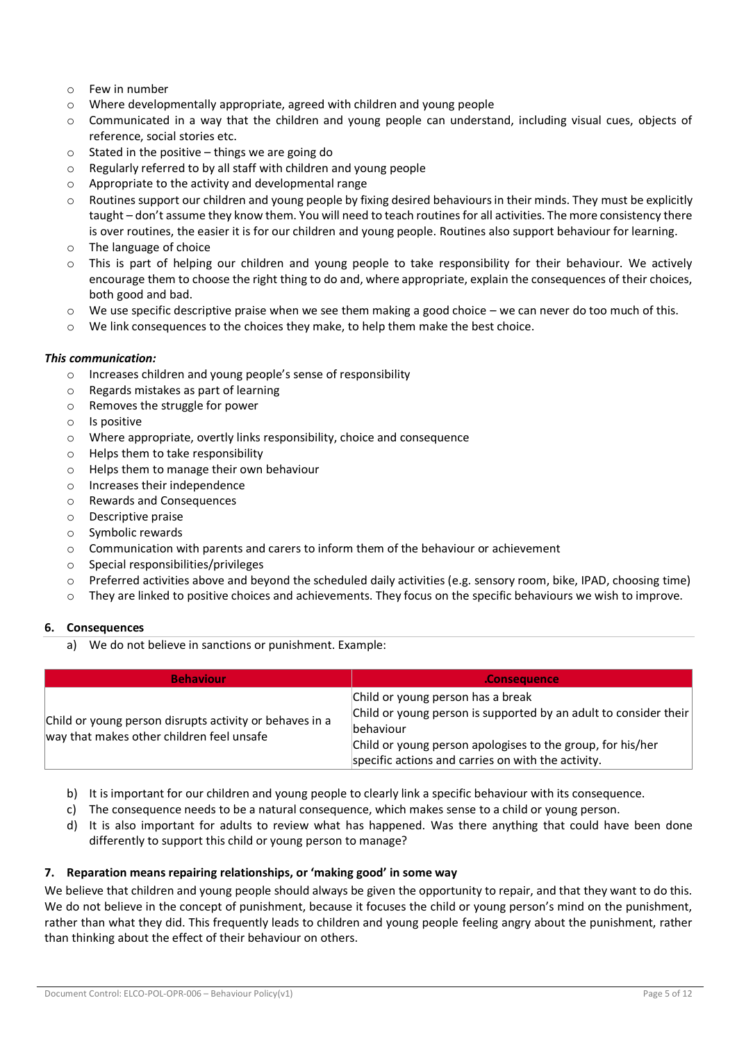- o Few in number
- o Where developmentally appropriate, agreed with children and young people
- $\circ$  Communicated in a way that the children and young people can understand, including visual cues, objects of reference, social stories etc.
- $\circ$  Stated in the positive things we are going do
- o Regularly referred to by all staff with children and young people
- o Appropriate to the activity and developmental range
- $\circ$  Routines support our children and young people by fixing desired behaviours in their minds. They must be explicitly taught – don't assume they know them. You will need to teach routines for all activities. The more consistency there is over routines, the easier it is for our children and young people. Routines also support behaviour for learning.
- o The language of choice
- o This is part of helping our children and young people to take responsibility for their behaviour. We actively encourage them to choose the right thing to do and, where appropriate, explain the consequences of their choices, both good and bad.
- $\circ$  We use specific descriptive praise when we see them making a good choice we can never do too much of this.
- $\circ$  We link consequences to the choices they make, to help them make the best choice.

#### *This communication:*

- o Increases children and young people's sense of responsibility
- o Regards mistakes as part of learning
- o Removes the struggle for power
- o Is positive
- o Where appropriate, overtly links responsibility, choice and consequence
- o Helps them to take responsibility
- o Helps them to manage their own behaviour
- o Increases their independence
- o Rewards and Consequences
- o Descriptive praise
- o Symbolic rewards
- $\circ$  Communication with parents and carers to inform them of the behaviour or achievement
- o Special responsibilities/privileges
- o Preferred activities above and beyond the scheduled daily activities (e.g. sensory room, bike, IPAD, choosing time)
- $\circ$  They are linked to positive choices and achievements. They focus on the specific behaviours we wish to improve.

## **6. Consequences**

a) We do not believe in sanctions or punishment. Example:

| <b>Behaviour</b>                                                                                     | <b>Consequence</b>                                                                                                                                                                                                                      |
|------------------------------------------------------------------------------------------------------|-----------------------------------------------------------------------------------------------------------------------------------------------------------------------------------------------------------------------------------------|
| Child or young person disrupts activity or behaves in a<br>way that makes other children feel unsafe | Child or young person has a break<br>Child or young person is supported by an adult to consider their<br>lbehaviour<br>Child or young person apologises to the group, for his/her<br>specific actions and carries on with the activity. |

- b) It is important for our children and young people to clearly link a specific behaviour with its consequence.
- c) The consequence needs to be a natural consequence, which makes sense to a child or young person.
- d) It is also important for adults to review what has happened. Was there anything that could have been done differently to support this child or young person to manage?

## **7. Reparation means repairing relationships, or 'making good' in some way**

We believe that children and young people should always be given the opportunity to repair, and that they want to do this. We do not believe in the concept of punishment, because it focuses the child or young person's mind on the punishment, rather than what they did. This frequently leads to children and young people feeling angry about the punishment, rather than thinking about the effect of their behaviour on others.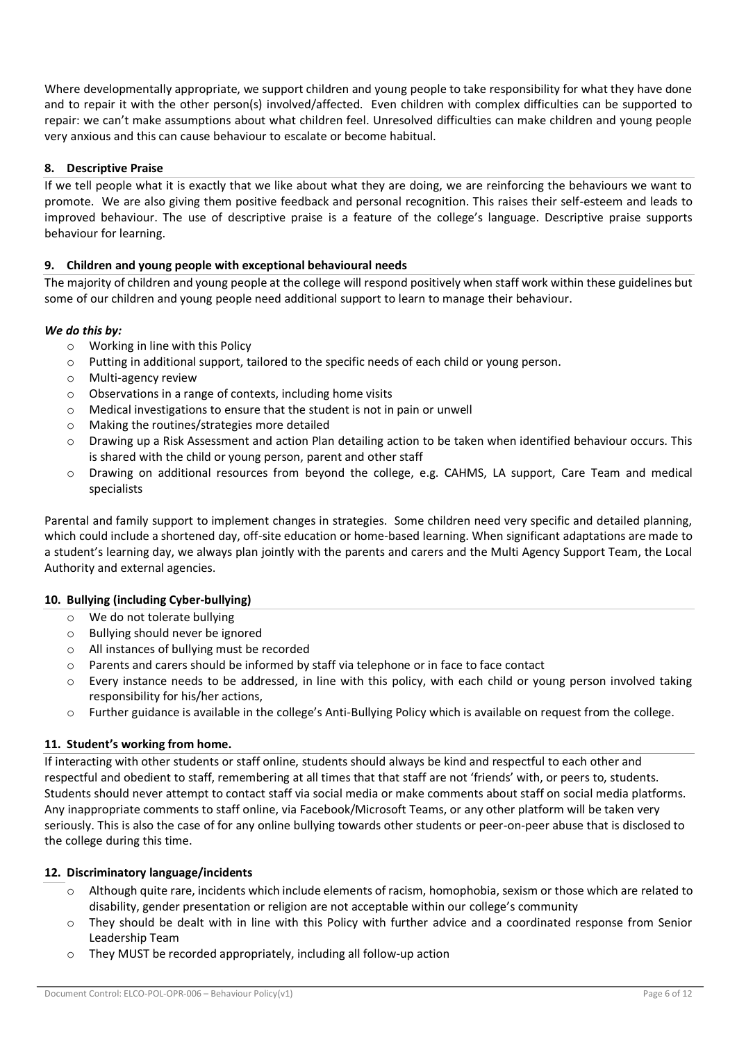Where developmentally appropriate, we support children and young people to take responsibility for what they have done and to repair it with the other person(s) involved/affected. Even children with complex difficulties can be supported to repair: we can't make assumptions about what children feel. Unresolved difficulties can make children and young people very anxious and this can cause behaviour to escalate or become habitual.

## **8. Descriptive Praise**

If we tell people what it is exactly that we like about what they are doing, we are reinforcing the behaviours we want to promote. We are also giving them positive feedback and personal recognition. This raises their self-esteem and leads to improved behaviour. The use of descriptive praise is a feature of the college's language. Descriptive praise supports behaviour for learning.

# **9. Children and young people with exceptional behavioural needs**

The majority of children and young people at the college will respond positively when staff work within these guidelines but some of our children and young people need additional support to learn to manage their behaviour.

## *We do this by:*

- o Working in line with this Policy
- o Putting in additional support, tailored to the specific needs of each child or young person.
- o Multi-agency review
- o Observations in a range of contexts, including home visits
- o Medical investigations to ensure that the student is not in pain or unwell
- o Making the routines/strategies more detailed
- o Drawing up a Risk Assessment and action Plan detailing action to be taken when identified behaviour occurs. This is shared with the child or young person, parent and other staff
- o Drawing on additional resources from beyond the college, e.g. CAHMS, LA support, Care Team and medical specialists

Parental and family support to implement changes in strategies. Some children need very specific and detailed planning, which could include a shortened day, off-site education or home-based learning. When significant adaptations are made to a student's learning day, we always plan jointly with the parents and carers and the Multi Agency Support Team, the Local Authority and external agencies.

## **10. Bullying (including Cyber-bullying)**

- o We do not tolerate bullying
- o Bullying should never be ignored
- o All instances of bullying must be recorded
- o Parents and carers should be informed by staff via telephone or in face to face contact
- o Every instance needs to be addressed, in line with this policy, with each child or young person involved taking responsibility for his/her actions,
- o Further guidance is available in the college's Anti-Bullying Policy which is available on request from the college.

## **11. Student's working from home.**

If interacting with other students or staff online, students should always be kind and respectful to each other and respectful and obedient to staff, remembering at all times that that staff are not 'friends' with, or peers to, students. Students should never attempt to contact staff via social media or make comments about staff on social media platforms. Any inappropriate comments to staff online, via Facebook/Microsoft Teams, or any other platform will be taken very seriously. This is also the case of for any online bullying towards other students or peer-on-peer abuse that is disclosed to the college during this time.

## **12. Discriminatory language/incidents**

- o Although quite rare, incidents which include elements of racism, homophobia, sexism or those which are related to disability, gender presentation or religion are not acceptable within our college's community
- o They should be dealt with in line with this Policy with further advice and a coordinated response from Senior Leadership Team
- o They MUST be recorded appropriately, including all follow-up action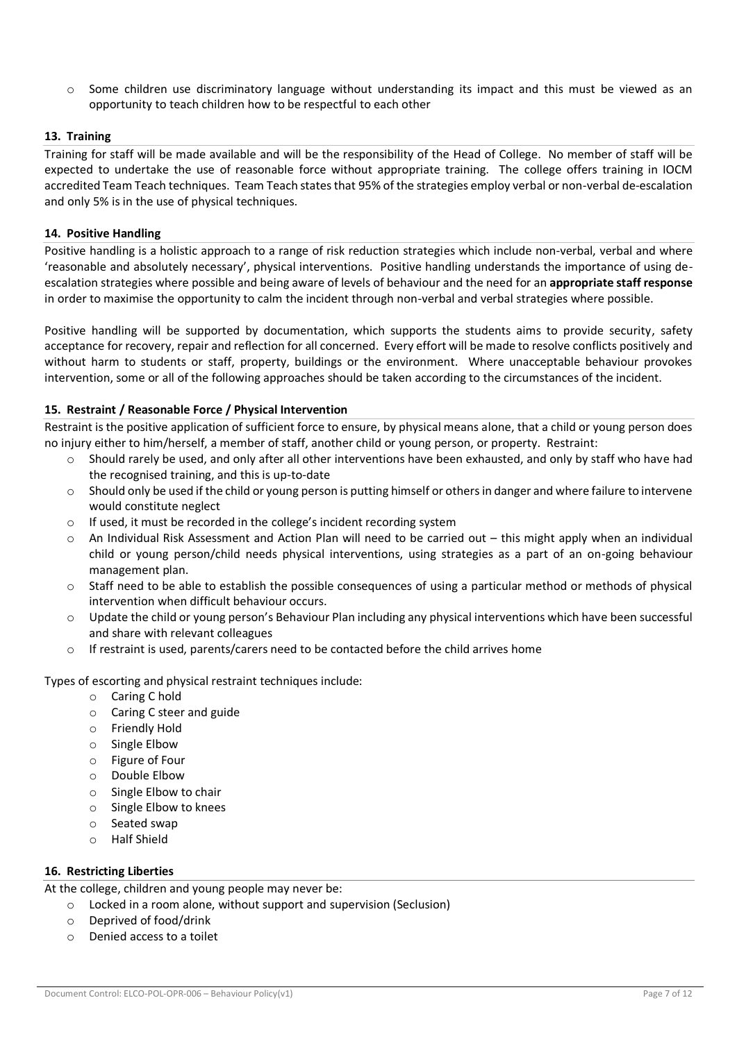$\circ$  Some children use discriminatory language without understanding its impact and this must be viewed as an opportunity to teach children how to be respectful to each other

## **13. Training**

Training for staff will be made available and will be the responsibility of the Head of College. No member of staff will be expected to undertake the use of reasonable force without appropriate training. The college offers training in IOCM accredited Team Teach techniques. Team Teach states that 95% of the strategies employ verbal or non-verbal de-escalation and only 5% is in the use of physical techniques.

#### **14. Positive Handling**

Positive handling is a holistic approach to a range of risk reduction strategies which include non-verbal, verbal and where 'reasonable and absolutely necessary', physical interventions. Positive handling understands the importance of using deescalation strategies where possible and being aware of levels of behaviour and the need for an **appropriate staff response**  in order to maximise the opportunity to calm the incident through non-verbal and verbal strategies where possible.

Positive handling will be supported by documentation, which supports the students aims to provide security, safety acceptance for recovery, repair and reflection for all concerned. Every effort will be made to resolve conflicts positively and without harm to students or staff, property, buildings or the environment. Where unacceptable behaviour provokes intervention, some or all of the following approaches should be taken according to the circumstances of the incident.

#### **15. Restraint / Reasonable Force / Physical Intervention**

Restraint is the positive application of sufficient force to ensure, by physical means alone, that a child or young person does no injury either to him/herself, a member of staff, another child or young person, or property. Restraint:

- o Should rarely be used, and only after all other interventions have been exhausted, and only by staff who have had the recognised training, and this is up-to-date
- o Should only be used if the child or young person is putting himself or others in danger and where failure to intervene would constitute neglect
- o If used, it must be recorded in the college's incident recording system
- $\circ$  An Individual Risk Assessment and Action Plan will need to be carried out this might apply when an individual child or young person/child needs physical interventions, using strategies as a part of an on-going behaviour management plan.
- $\circ$  Staff need to be able to establish the possible consequences of using a particular method or methods of physical intervention when difficult behaviour occurs.
- o Update the child or young person's Behaviour Plan including any physical interventions which have been successful and share with relevant colleagues
- o If restraint is used, parents/carers need to be contacted before the child arrives home

Types of escorting and physical restraint techniques include:

- o Caring C hold
- o Caring C steer and guide
- o Friendly Hold
- o Single Elbow
- o Figure of Four
- o Double Elbow
- o Single Elbow to chair
- o Single Elbow to knees
- o Seated swap
- o Half Shield

## **16. Restricting Liberties**

At the college, children and young people may never be:

- o Locked in a room alone, without support and supervision (Seclusion)
- o Deprived of food/drink
- o Denied access to a toilet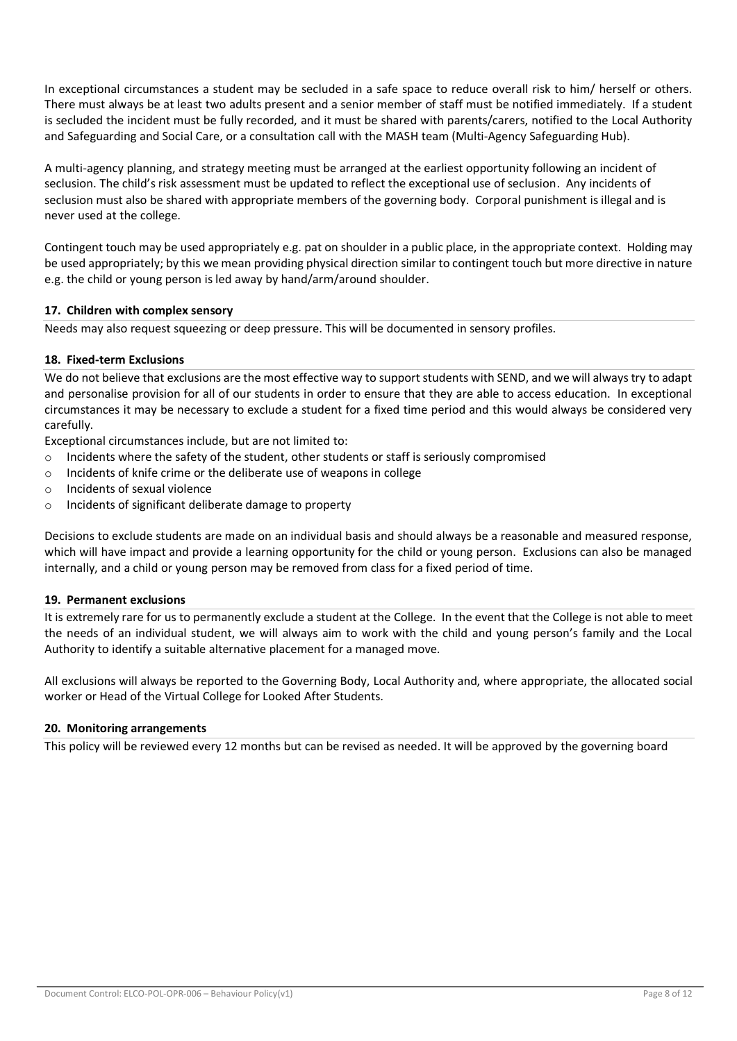In exceptional circumstances a student may be secluded in a safe space to reduce overall risk to him/ herself or others. There must always be at least two adults present and a senior member of staff must be notified immediately. If a student is secluded the incident must be fully recorded, and it must be shared with parents/carers, notified to the Local Authority and Safeguarding and Social Care, or a consultation call with the MASH team (Multi-Agency Safeguarding Hub).

A multi-agency planning, and strategy meeting must be arranged at the earliest opportunity following an incident of seclusion. The child's risk assessment must be updated to reflect the exceptional use of seclusion. Any incidents of seclusion must also be shared with appropriate members of the governing body. Corporal punishment is illegal and is never used at the college.

Contingent touch may be used appropriately e.g. pat on shoulder in a public place, in the appropriate context. Holding may be used appropriately; by this we mean providing physical direction similar to contingent touch but more directive in nature e.g. the child or young person is led away by hand/arm/around shoulder.

# **17. Children with complex sensory**

Needs may also request squeezing or deep pressure. This will be documented in sensory profiles.

# **18. Fixed-term Exclusions**

We do not believe that exclusions are the most effective way to support students with SEND, and we will always try to adapt and personalise provision for all of our students in order to ensure that they are able to access education. In exceptional circumstances it may be necessary to exclude a student for a fixed time period and this would always be considered very carefully.

Exceptional circumstances include, but are not limited to:

- $\circ$  Incidents where the safety of the student, other students or staff is seriously compromised
- o Incidents of knife crime or the deliberate use of weapons in college
- o Incidents of sexual violence
- o Incidents of significant deliberate damage to property

Decisions to exclude students are made on an individual basis and should always be a reasonable and measured response, which will have impact and provide a learning opportunity for the child or young person. Exclusions can also be managed internally, and a child or young person may be removed from class for a fixed period of time.

## **19. Permanent exclusions**

It is extremely rare for us to permanently exclude a student at the College. In the event that the College is not able to meet the needs of an individual student, we will always aim to work with the child and young person's family and the Local Authority to identify a suitable alternative placement for a managed move.

All exclusions will always be reported to the Governing Body, Local Authority and, where appropriate, the allocated social worker or Head of the Virtual College for Looked After Students.

## **20. Monitoring arrangements**

This policy will be reviewed every 12 months but can be revised as needed. It will be approved by the governing board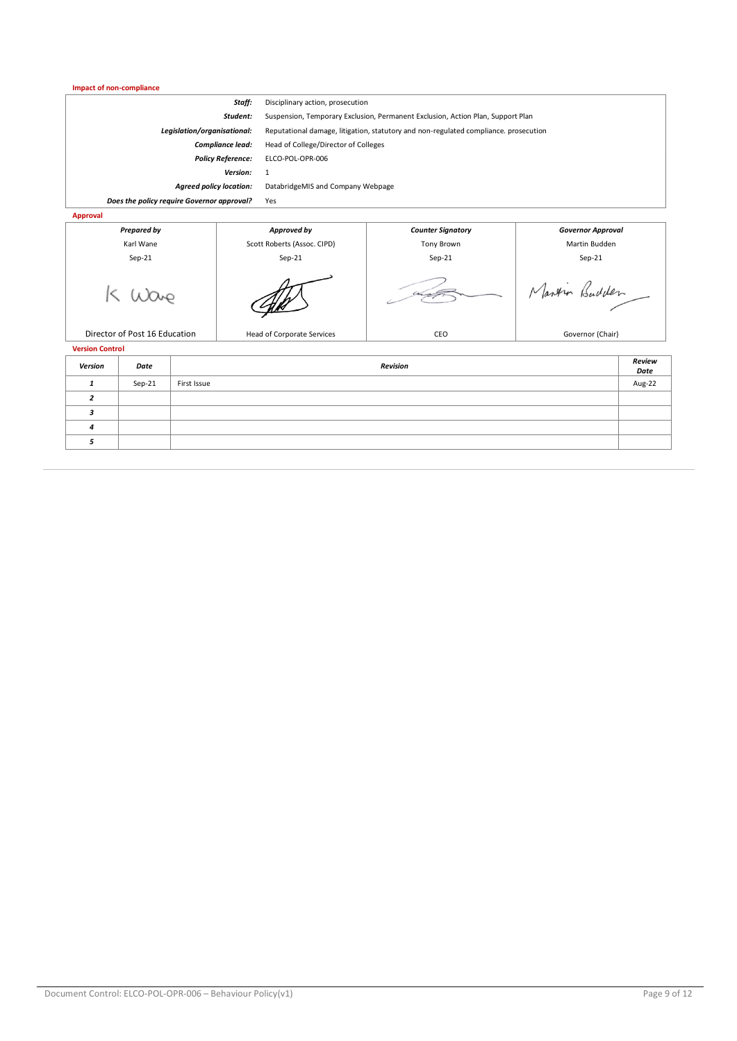#### **Impact of non-compliance**

| Staff:                                     |                            | Disciplinary action, prosecution                                                     |                                      |                          |  |
|--------------------------------------------|----------------------------|--------------------------------------------------------------------------------------|--------------------------------------|--------------------------|--|
| Student:                                   |                            | Suspension, Temporary Exclusion, Permanent Exclusion, Action Plan, Support Plan      |                                      |                          |  |
| Legislation/organisational:                |                            | Reputational damage, litigation, statutory and non-regulated compliance. prosecution |                                      |                          |  |
| Compliance lead:                           |                            |                                                                                      | Head of College/Director of Colleges |                          |  |
| <b>Policy Reference:</b>                   |                            | ELCO-POL-OPR-006                                                                     |                                      |                          |  |
| Version:                                   |                            | 1                                                                                    |                                      |                          |  |
| <b>Agreed policy location:</b>             |                            | DatabridgeMIS and Company Webpage                                                    |                                      |                          |  |
| Does the policy require Governor approval? |                            | Yes                                                                                  |                                      |                          |  |
| Approval                                   |                            |                                                                                      |                                      |                          |  |
| <b>Prepared by</b>                         |                            | Approved by                                                                          | <b>Counter Signatory</b>             | <b>Governor Approval</b> |  |
| Karl Wane                                  |                            | Scott Roberts (Assoc. CIPD)                                                          | Tony Brown                           | Martin Budden            |  |
| $Sep-21$                                   |                            | $Sep-21$                                                                             | $Sep-21$                             | $Sep-21$                 |  |
|                                            |                            |                                                                                      |                                      | Martin Budden            |  |
| Director of Post 16 Education              | Head of Corporate Services |                                                                                      | CEO                                  | Governor (Chair)         |  |

**Version Control**

| Version | Date     | Revision    | Review<br>Date |
|---------|----------|-------------|----------------|
|         | $Sep-21$ | First Issue | Aug-22         |
|         |          |             |                |
|         |          |             |                |
|         |          |             |                |
|         |          |             |                |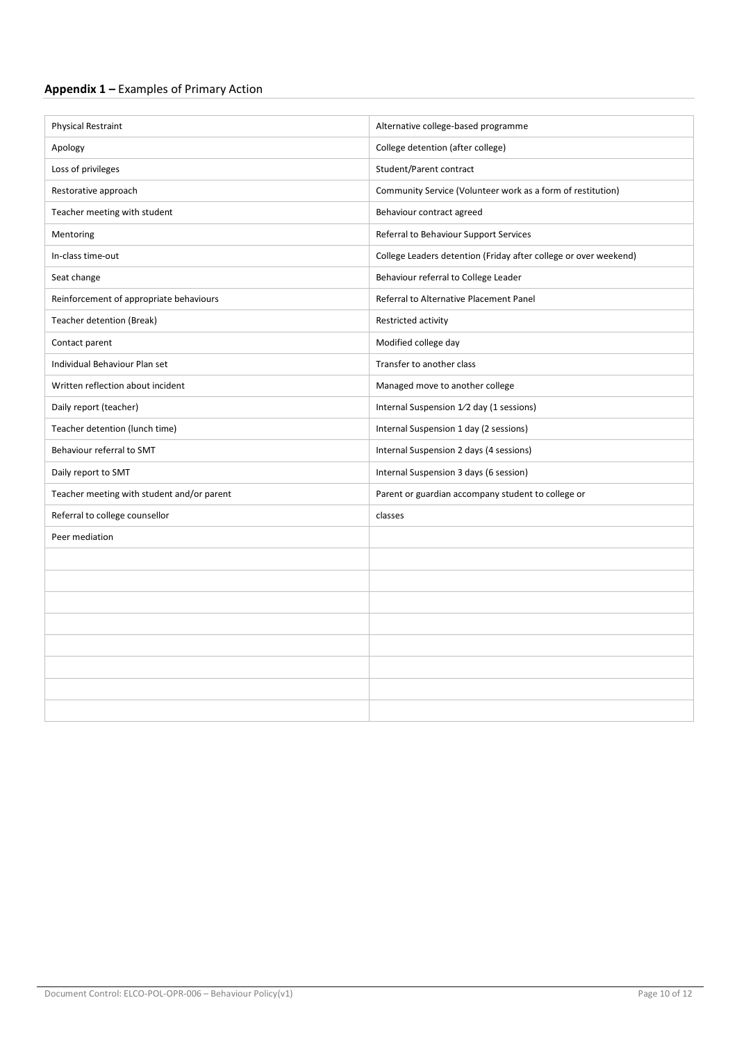# **Appendix 1 –** Examples of Primary Action

| <b>Physical Restraint</b>                  | Alternative college-based programme                              |
|--------------------------------------------|------------------------------------------------------------------|
| Apology                                    | College detention (after college)                                |
| Loss of privileges                         | Student/Parent contract                                          |
| Restorative approach                       | Community Service (Volunteer work as a form of restitution)      |
| Teacher meeting with student               | Behaviour contract agreed                                        |
| Mentoring                                  | Referral to Behaviour Support Services                           |
| In-class time-out                          | College Leaders detention (Friday after college or over weekend) |
| Seat change                                | Behaviour referral to College Leader                             |
| Reinforcement of appropriate behaviours    | Referral to Alternative Placement Panel                          |
| Teacher detention (Break)                  | Restricted activity                                              |
| Contact parent                             | Modified college day                                             |
| Individual Behaviour Plan set              | Transfer to another class                                        |
| Written reflection about incident          | Managed move to another college                                  |
| Daily report (teacher)                     | Internal Suspension 1/2 day (1 sessions)                         |
| Teacher detention (lunch time)             | Internal Suspension 1 day (2 sessions)                           |
| Behaviour referral to SMT                  | Internal Suspension 2 days (4 sessions)                          |
| Daily report to SMT                        | Internal Suspension 3 days (6 session)                           |
| Teacher meeting with student and/or parent | Parent or guardian accompany student to college or               |
| Referral to college counsellor             | classes                                                          |
| Peer mediation                             |                                                                  |
|                                            |                                                                  |
|                                            |                                                                  |
|                                            |                                                                  |
|                                            |                                                                  |
|                                            |                                                                  |
|                                            |                                                                  |
|                                            |                                                                  |
|                                            |                                                                  |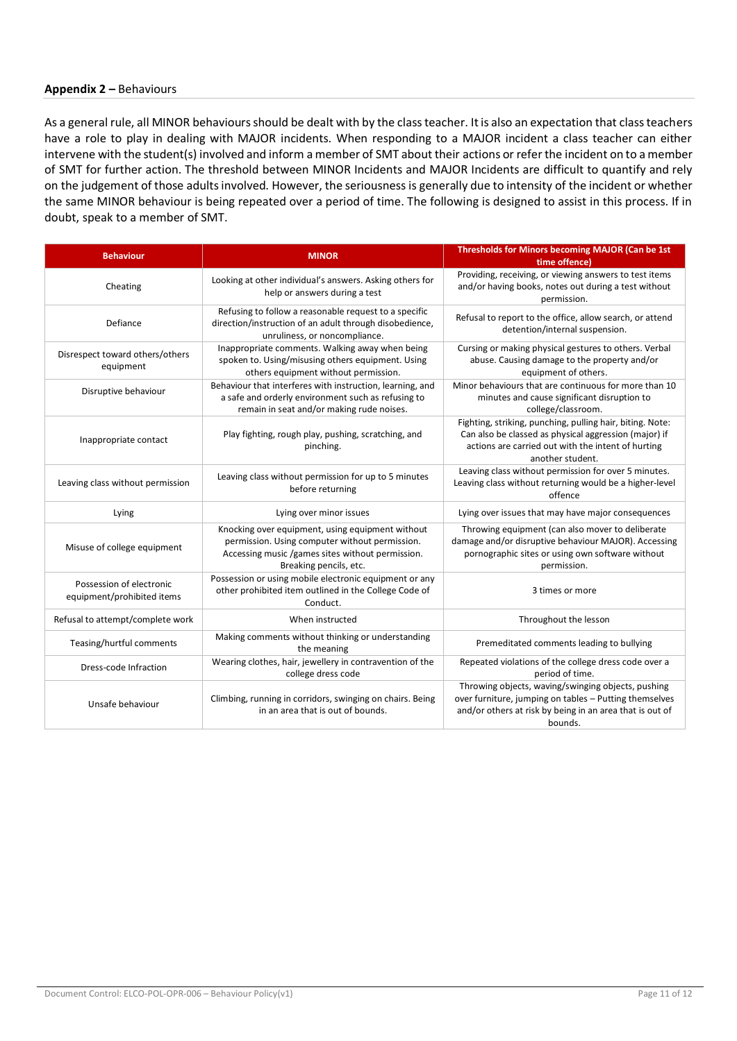#### **Appendix 2 –** Behaviours

As a general rule, all MINOR behaviours should be dealt with by the class teacher. It is also an expectation that class teachers have a role to play in dealing with MAJOR incidents. When responding to a MAJOR incident a class teacher can either intervene with the student(s) involved and inform a member of SMT about their actions or refer the incident on to a member of SMT for further action. The threshold between MINOR Incidents and MAJOR Incidents are difficult to quantify and rely on the judgement of those adults involved. However, the seriousness is generally due to intensity of the incident or whether the same MINOR behaviour is being repeated over a period of time. The following is designed to assist in this process. If in doubt, speak to a member of SMT.

| <b>Behaviour</b>                                       | <b>MINOR</b>                                                                                                                                                                     | <b>Thresholds for Minors becoming MAJOR (Can be 1st</b><br>time offence)                                                                                                                     |
|--------------------------------------------------------|----------------------------------------------------------------------------------------------------------------------------------------------------------------------------------|----------------------------------------------------------------------------------------------------------------------------------------------------------------------------------------------|
| Cheating                                               | Looking at other individual's answers. Asking others for<br>help or answers during a test                                                                                        | Providing, receiving, or viewing answers to test items<br>and/or having books, notes out during a test without<br>permission.                                                                |
| Defiance                                               | Refusing to follow a reasonable request to a specific<br>direction/instruction of an adult through disobedience,<br>unruliness, or noncompliance.                                | Refusal to report to the office, allow search, or attend<br>detention/internal suspension.                                                                                                   |
| Disrespect toward others/others<br>equipment           | Inappropriate comments. Walking away when being<br>spoken to. Using/misusing others equipment. Using<br>others equipment without permission.                                     | Cursing or making physical gestures to others. Verbal<br>abuse. Causing damage to the property and/or<br>equipment of others.                                                                |
| Disruptive behaviour                                   | Behaviour that interferes with instruction, learning, and<br>a safe and orderly environment such as refusing to<br>remain in seat and/or making rude noises.                     | Minor behaviours that are continuous for more than 10<br>minutes and cause significant disruption to<br>college/classroom.                                                                   |
| Inappropriate contact                                  | Play fighting, rough play, pushing, scratching, and<br>pinching.                                                                                                                 | Fighting, striking, punching, pulling hair, biting. Note:<br>Can also be classed as physical aggression (major) if<br>actions are carried out with the intent of hurting<br>another student. |
| Leaving class without permission                       | Leaving class without permission for up to 5 minutes<br>before returning                                                                                                         | Leaving class without permission for over 5 minutes.<br>Leaving class without returning would be a higher-level<br>offence                                                                   |
| Lying                                                  | Lying over minor issues                                                                                                                                                          | Lying over issues that may have major consequences                                                                                                                                           |
| Misuse of college equipment                            | Knocking over equipment, using equipment without<br>permission. Using computer without permission.<br>Accessing music /games sites without permission.<br>Breaking pencils, etc. | Throwing equipment (can also mover to deliberate<br>damage and/or disruptive behaviour MAJOR). Accessing<br>pornographic sites or using own software without<br>permission.                  |
| Possession of electronic<br>equipment/prohibited items | Possession or using mobile electronic equipment or any<br>other prohibited item outlined in the College Code of<br>Conduct.                                                      | 3 times or more                                                                                                                                                                              |
| Refusal to attempt/complete work                       | When instructed                                                                                                                                                                  | Throughout the lesson                                                                                                                                                                        |
| Teasing/hurtful comments                               | Making comments without thinking or understanding<br>the meaning                                                                                                                 | Premeditated comments leading to bullying                                                                                                                                                    |
| Dress-code Infraction                                  | Wearing clothes, hair, jewellery in contravention of the<br>college dress code                                                                                                   | Repeated violations of the college dress code over a<br>period of time.                                                                                                                      |
| Unsafe behaviour                                       | Climbing, running in corridors, swinging on chairs. Being<br>in an area that is out of bounds.                                                                                   | Throwing objects, waving/swinging objects, pushing<br>over furniture, jumping on tables - Putting themselves<br>and/or others at risk by being in an area that is out of<br>bounds.          |